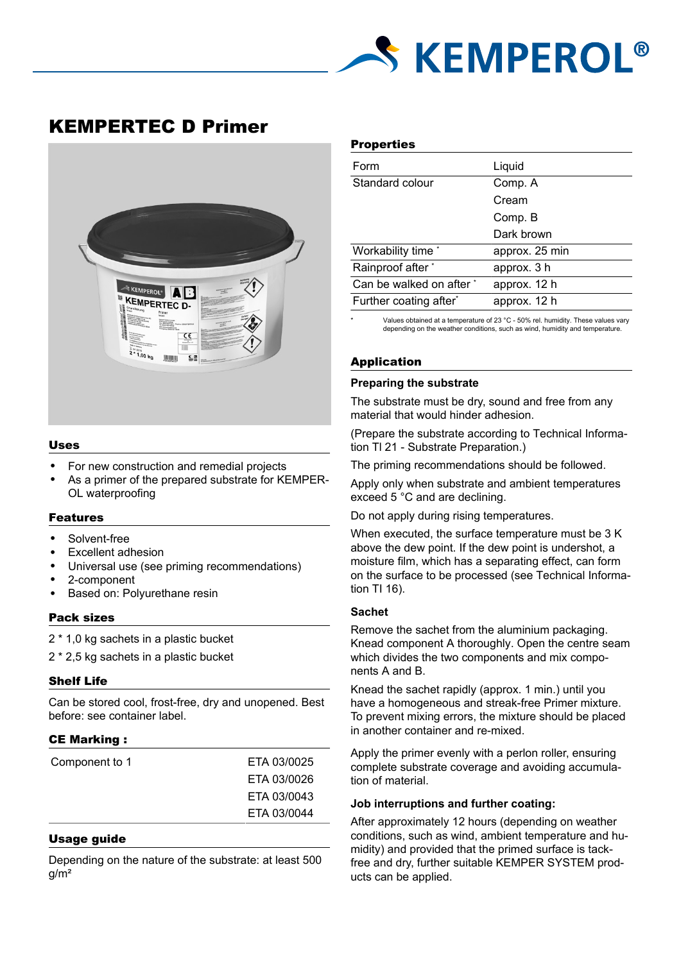

# KEMPERTEC D Primer



## Uses

- For new construction and remedial projects
- As a primer of the prepared substrate for KEMPER-OL waterproofing

# Features

- Solvent-free
- Excellent adhesion
- Universal use (see priming recommendations)
- 2-component
- Based on: Polyurethane resin

## Pack sizes

- 2 \* 1,0 kg sachets in a plastic bucket
- 2 \* 2,5 kg sachets in a plastic bucket

## Shelf Life

Can be stored cool, frost-free, dry and unopened. Best before: see container label.

## CE Marking :

| Component to 1 | ETA 03/0025 |
|----------------|-------------|
|                | ETA 03/0026 |
|                | ETA 03/0043 |
|                | ETA 03/0044 |
|                |             |

## Usage guide

Depending on the nature of the substrate: at least 500 g/m²

#### **Properties**

| Form                     | Liquid         |
|--------------------------|----------------|
| Standard colour          | Comp. A        |
|                          | Cream          |
|                          | Comp. B        |
|                          | Dark brown     |
| Workability time *       | approx. 25 min |
| Rainproof after *        | approx. 3 h    |
| Can be walked on after * | approx. 12 h   |
| Further coating after*   | approx. 12 h   |
|                          |                |

Values obtained at a temperature of 23 °C - 50% rel. humidity. These values vary depending on the weather conditions, such as wind, humidity and temperature.

## Application

# **Preparing the substrate**

The substrate must be dry, sound and free from any material that would hinder adhesion.

(Prepare the substrate according to Technical Information Tl 21 - Substrate Preparation.)

The priming recommendations should be followed.

Apply only when substrate and ambient temperatures exceed 5 °C and are declining.

Do not apply during rising temperatures.

When executed, the surface temperature must be 3 K above the dew point. If the dew point is undershot, a moisture film, which has a separating effect, can form on the surface to be processed (see Technical Information TI 16).

#### **Sachet**

Remove the sachet from the aluminium packaging. Knead component A thoroughly. Open the centre seam which divides the two components and mix components A and B.

Knead the sachet rapidly (approx. 1 min.) until you have a homogeneous and streak-free Primer mixture. To prevent mixing errors, the mixture should be placed in another container and re-mixed.

Apply the primer evenly with a perlon roller, ensuring complete substrate coverage and avoiding accumulation of material.

#### **Job interruptions and further coating:**

After approximately 12 hours (depending on weather conditions, such as wind, ambient temperature and humidity) and provided that the primed surface is tackfree and dry, further suitable KEMPER SYSTEM products can be applied.